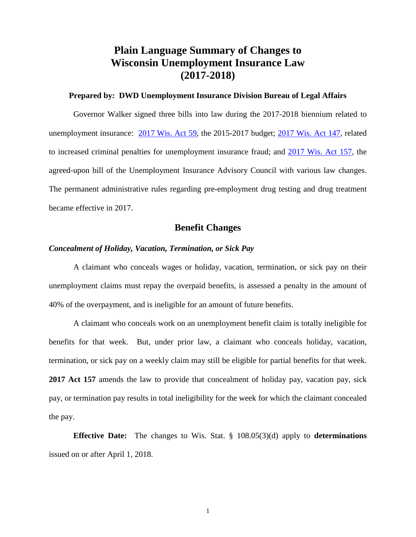# **Plain Language Summary of Changes to Wisconsin Unemployment Insurance Law (2017-2018)**

#### **Prepared by: DWD Unemployment Insurance Division Bureau of Legal Affairs**

Governor Walker signed three bills into law during the 2017-2018 biennium related to unemployment insurance: 2017 [Wis. Act 59,](https://docs.legis.wisconsin.gov/2017/related/acts/59) the 2015-2017 budget; [2017 Wis. Act 147,](https://docs.legis.wisconsin.gov/2017/related/acts/147) related to increased criminal penalties for unemployment insurance fraud; and [2017 Wis. Act 157,](https://docs.legis.wisconsin.gov/2017/related/acts/157) the agreed-upon bill of the Unemployment Insurance Advisory Council with various law changes. The permanent administrative rules regarding pre-employment drug testing and drug treatment became effective in 2017.

# **Benefit Changes**

#### *Concealment of Holiday, Vacation, Termination, or Sick Pay*

A claimant who conceals wages or holiday, vacation, termination, or sick pay on their unemployment claims must repay the overpaid benefits, is assessed a penalty in the amount of 40% of the overpayment, and is ineligible for an amount of future benefits.

A claimant who conceals work on an unemployment benefit claim is totally ineligible for benefits for that week. But, under prior law, a claimant who conceals holiday, vacation, termination, or sick pay on a weekly claim may still be eligible for partial benefits for that week. **2017 Act 157** amends the law to provide that concealment of holiday pay, vacation pay, sick pay, or termination pay results in total ineligibility for the week for which the claimant concealed the pay.

**Effective Date:** The changes to Wis. Stat. § 108.05(3)(d) apply to **determinations**  issued on or after April 1, 2018.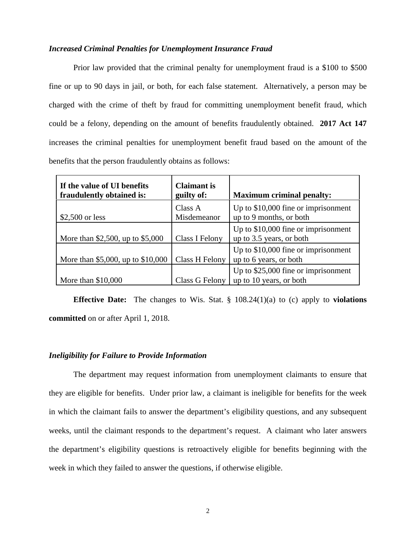# *Increased Criminal Penalties for Unemployment Insurance Fraud*

Prior law provided that the criminal penalty for unemployment fraud is a \$100 to \$500 fine or up to 90 days in jail, or both, for each false statement. Alternatively, a person may be charged with the crime of theft by fraud for committing unemployment benefit fraud, which could be a felony, depending on the amount of benefits fraudulently obtained. **2017 Act 147** increases the criminal penalties for unemployment benefit fraud based on the amount of the benefits that the person fraudulently obtains as follows:

| If the value of UI benefits<br>fraudulently obtained is: | <b>Claimant is</b><br>guilty of: | <b>Maximum criminal penalty:</b>                                |
|----------------------------------------------------------|----------------------------------|-----------------------------------------------------------------|
| $$2,500$ or less                                         | Class A<br>Misdemeanor           | Up to $$10,000$ fine or imprisonment<br>up to 9 months, or both |
| More than \$2,500, up to \$5,000                         | Class I Felony                   | Up to \$10,000 fine or imprisonment<br>up to 3.5 years, or both |
| More than \$5,000, up to \$10,000                        | Class H Felony                   | Up to \$10,000 fine or imprisonment<br>up to 6 years, or both   |
| More than $$10,000$                                      | Class G Felony                   | Up to \$25,000 fine or imprisonment<br>up to 10 years, or both  |

**Effective Date:** The changes to Wis. Stat. § 108.24(1)(a) to (c) apply to **violations committed** on or after April 1, 2018.

### *Ineligibility for Failure to Provide Information*

The department may request information from unemployment claimants to ensure that they are eligible for benefits. Under prior law, a claimant is ineligible for benefits for the week in which the claimant fails to answer the department's eligibility questions, and any subsequent weeks, until the claimant responds to the department's request. A claimant who later answers the department's eligibility questions is retroactively eligible for benefits beginning with the week in which they failed to answer the questions, if otherwise eligible.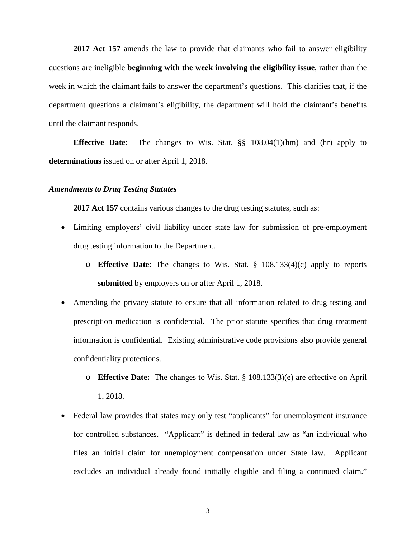**2017 Act 157** amends the law to provide that claimants who fail to answer eligibility questions are ineligible **beginning with the week involving the eligibility issue**, rather than the week in which the claimant fails to answer the department's questions. This clarifies that, if the department questions a claimant's eligibility, the department will hold the claimant's benefits until the claimant responds.

**Effective Date:** The changes to Wis. Stat. §§ 108.04(1)(hm) and (hr) apply to **determinations** issued on or after April 1, 2018.

#### *Amendments to Drug Testing Statutes*

**2017 Act 157** contains various changes to the drug testing statutes, such as:

- Limiting employers' civil liability under state law for submission of pre-employment drug testing information to the Department.
	- o **Effective Date**: The changes to Wis. Stat. § 108.133(4)(c) apply to reports **submitted** by employers on or after April 1, 2018.
- Amending the privacy statute to ensure that all information related to drug testing and prescription medication is confidential. The prior statute specifies that drug treatment information is confidential. Existing administrative code provisions also provide general confidentiality protections.
	- o **Effective Date:** The changes to Wis. Stat. § 108.133(3)(e) are effective on April 1, 2018.
- Federal law provides that states may only test "applicants" for unemployment insurance for controlled substances. "Applicant" is defined in federal law as "an individual who files an initial claim for unemployment compensation under State law. Applicant excludes an individual already found initially eligible and filing a continued claim."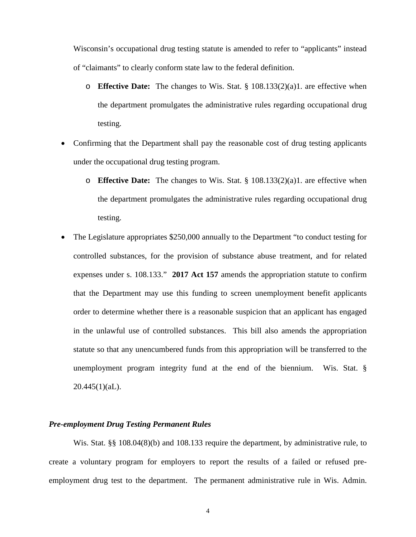Wisconsin's occupational drug testing statute is amended to refer to "applicants" instead of "claimants" to clearly conform state law to the federal definition.

- o **Effective Date:** The changes to Wis. Stat. § 108.133(2)(a)1. are effective when the department promulgates the administrative rules regarding occupational drug testing.
- Confirming that the Department shall pay the reasonable cost of drug testing applicants under the occupational drug testing program.
	- o **Effective Date:** The changes to Wis. Stat. § 108.133(2)(a)1. are effective when the department promulgates the administrative rules regarding occupational drug testing.
- The Legislature appropriates \$250,000 annually to the Department "to conduct testing for controlled substances, for the provision of substance abuse treatment, and for related expenses under s. 108.133." **2017 Act 157** amends the appropriation statute to confirm that the Department may use this funding to screen unemployment benefit applicants order to determine whether there is a reasonable suspicion that an applicant has engaged in the unlawful use of controlled substances. This bill also amends the appropriation statute so that any unencumbered funds from this appropriation will be transferred to the unemployment program integrity fund at the end of the biennium. Wis. Stat. §  $20.445(1)(aL)$ .

# *Pre-employment Drug Testing Permanent Rules*

Wis. Stat. §§ 108.04(8)(b) and 108.133 require the department, by administrative rule, to create a voluntary program for employers to report the results of a failed or refused preemployment drug test to the department. The permanent administrative rule in Wis. Admin.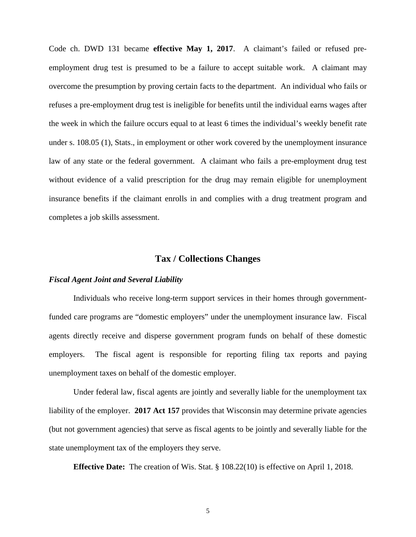Code ch. DWD 131 became **effective May 1, 2017**. A claimant's failed or refused preemployment drug test is presumed to be a failure to accept suitable work. A claimant may overcome the presumption by proving certain facts to the department. An individual who fails or refuses a pre-employment drug test is ineligible for benefits until the individual earns wages after the week in which the failure occurs equal to at least 6 times the individual's weekly benefit rate under s. 108.05 (1), Stats., in employment or other work covered by the unemployment insurance law of any state or the federal government. A claimant who fails a pre-employment drug test without evidence of a valid prescription for the drug may remain eligible for unemployment insurance benefits if the claimant enrolls in and complies with a drug treatment program and completes a job skills assessment.

# **Tax / Collections Changes**

#### *Fiscal Agent Joint and Several Liability*

Individuals who receive long-term support services in their homes through governmentfunded care programs are "domestic employers" under the unemployment insurance law. Fiscal agents directly receive and disperse government program funds on behalf of these domestic employers. The fiscal agent is responsible for reporting filing tax reports and paying unemployment taxes on behalf of the domestic employer.

Under federal law, fiscal agents are jointly and severally liable for the unemployment tax liability of the employer. **2017 Act 157** provides that Wisconsin may determine private agencies (but not government agencies) that serve as fiscal agents to be jointly and severally liable for the state unemployment tax of the employers they serve.

**Effective Date:** The creation of Wis. Stat. § 108.22(10) is effective on April 1, 2018.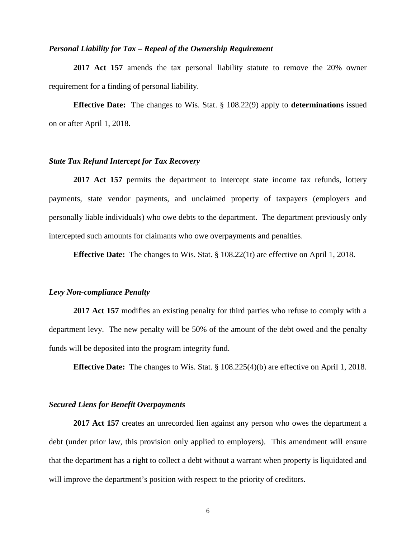#### *Personal Liability for Tax – Repeal of the Ownership Requirement*

**2017 Act 157** amends the tax personal liability statute to remove the 20% owner requirement for a finding of personal liability.

**Effective Date:** The changes to Wis. Stat. § 108.22(9) apply to **determinations** issued on or after April 1, 2018.

#### *State Tax Refund Intercept for Tax Recovery*

**2017 Act 157** permits the department to intercept state income tax refunds, lottery payments, state vendor payments, and unclaimed property of taxpayers (employers and personally liable individuals) who owe debts to the department. The department previously only intercepted such amounts for claimants who owe overpayments and penalties.

**Effective Date:** The changes to Wis. Stat. § 108.22(1t) are effective on April 1, 2018.

#### *Levy Non-compliance Penalty*

**2017 Act 157** modifies an existing penalty for third parties who refuse to comply with a department levy. The new penalty will be 50% of the amount of the debt owed and the penalty funds will be deposited into the program integrity fund.

**Effective Date:** The changes to Wis. Stat. § 108.225(4)(b) are effective on April 1, 2018.

#### *Secured Liens for Benefit Overpayments*

**2017 Act 157** creates an unrecorded lien against any person who owes the department a debt (under prior law, this provision only applied to employers). This amendment will ensure that the department has a right to collect a debt without a warrant when property is liquidated and will improve the department's position with respect to the priority of creditors.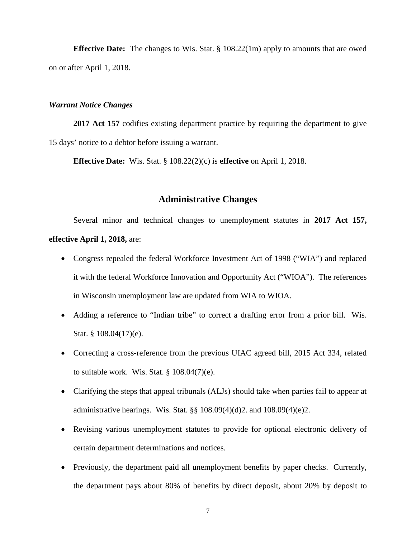**Effective Date:** The changes to Wis. Stat. § 108.22(1m) apply to amounts that are owed on or after April 1, 2018.

# *Warrant Notice Changes*

**2017 Act 157** codifies existing department practice by requiring the department to give 15 days' notice to a debtor before issuing a warrant.

**Effective Date:** Wis. Stat. § 108.22(2)(c) is **effective** on April 1, 2018.

# **Administrative Changes**

Several minor and technical changes to unemployment statutes in **2017 Act 157, effective April 1, 2018,** are:

- Congress repealed the federal Workforce Investment Act of 1998 ("WIA") and replaced it with the federal Workforce Innovation and Opportunity Act ("WIOA"). The references in Wisconsin unemployment law are updated from WIA to WIOA.
- Adding a reference to "Indian tribe" to correct a drafting error from a prior bill. Wis. Stat. § 108.04(17)(e).
- Correcting a cross-reference from the previous UIAC agreed bill, 2015 Act 334, related to suitable work. Wis. Stat.  $\S 108.04(7)$ (e).
- Clarifying the steps that appeal tribunals (ALJs) should take when parties fail to appear at administrative hearings. Wis. Stat. §§ 108.09(4)(d)2. and 108.09(4)(e)2.
- Revising various unemployment statutes to provide for optional electronic delivery of certain department determinations and notices.
- Previously, the department paid all unemployment benefits by paper checks. Currently, the department pays about 80% of benefits by direct deposit, about 20% by deposit to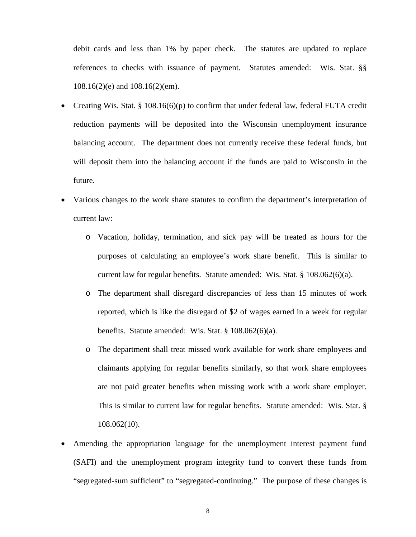debit cards and less than 1% by paper check. The statutes are updated to replace references to checks with issuance of payment. Statutes amended: Wis. Stat. §§ 108.16(2)(e) and 108.16(2)(em).

- Creating Wis. Stat. § 108.16(6)(p) to confirm that under federal law, federal FUTA credit reduction payments will be deposited into the Wisconsin unemployment insurance balancing account. The department does not currently receive these federal funds, but will deposit them into the balancing account if the funds are paid to Wisconsin in the future.
- Various changes to the work share statutes to confirm the department's interpretation of current law:
	- o Vacation, holiday, termination, and sick pay will be treated as hours for the purposes of calculating an employee's work share benefit. This is similar to current law for regular benefits. Statute amended: Wis. Stat.  $\S$  108.062(6)(a).
	- o The department shall disregard discrepancies of less than 15 minutes of work reported, which is like the disregard of \$2 of wages earned in a week for regular benefits. Statute amended: Wis. Stat. § 108.062(6)(a).
	- o The department shall treat missed work available for work share employees and claimants applying for regular benefits similarly, so that work share employees are not paid greater benefits when missing work with a work share employer. This is similar to current law for regular benefits. Statute amended: Wis. Stat. § 108.062(10).
- Amending the appropriation language for the unemployment interest payment fund (SAFI) and the unemployment program integrity fund to convert these funds from "segregated-sum sufficient" to "segregated-continuing." The purpose of these changes is